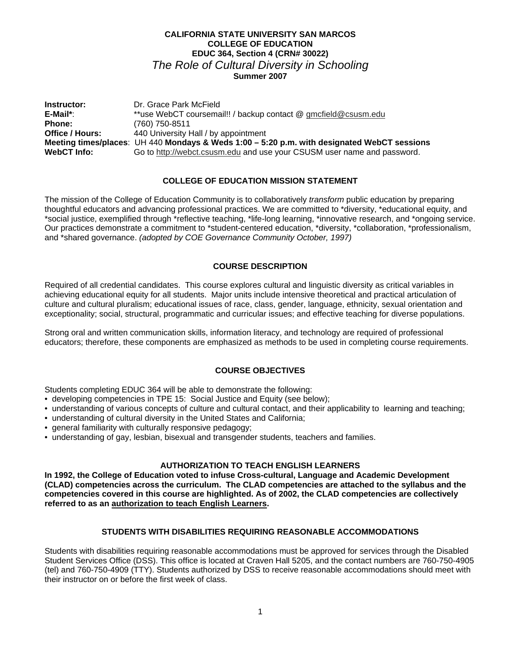## **CALIFORNIA STATE UNIVERSITY SAN MARCOS COLLEGE OF EDUCATION EDUC 364, Section 4 (CRN# 30022)**  *The Role of Cultural Diversity in Schooling*  **Summer 2007**

**Instructor:** Dr. Grace Park McField<br> **E-Mail\*:** \*\*use WebCT coursema E-Mail\*: \*\*use WebCT coursemail!! / backup contact @ gmcfield@csusm.edu<br>Phone: (760) 750-8511 **Phone:** (760) 750-8511 **Office / Hours:** 440 University Hall / by appointment **Meeting times/places**: UH 440 **Mondays & Weds 1:00 – 5:20 p.m. with designated WebCT sessions** Go to http://webct.csusm.edu and use your CSUSM user name and password.

## **COLLEGE OF EDUCATION MISSION STATEMENT**

The mission of the College of Education Community is to collaboratively *transform* public education by preparing thoughtful educators and advancing professional practices. We are committed to \*diversity, \*educational equity, and \*social justice, exemplified through \*reflective teaching, \*life-long learning, \*innovative research, and \*ongoing service. Our practices demonstrate a commitment to \*student-centered education, \*diversity, \*collaboration, \*professionalism, and \*shared governance. *(adopted by COE Governance Community October, 1997)* 

## **COURSE DESCRIPTION**

Required of all credential candidates. This course explores cultural and linguistic diversity as critical variables in achieving educational equity for all students. Major units include intensive theoretical and practical articulation of culture and cultural pluralism; educational issues of race, class, gender, language, ethnicity, sexual orientation and exceptionality; social, structural, programmatic and curricular issues; and effective teaching for diverse populations.

Strong oral and written communication skills, information literacy, and technology are required of professional educators; therefore, these components are emphasized as methods to be used in completing course requirements.

## **COURSE OBJECTIVES**

Students completing EDUC 364 will be able to demonstrate the following:

- developing competencies in TPE 15: Social Justice and Equity (see below);
- understanding of various concepts of culture and cultural contact, and their applicability to learning and teaching;
- understanding of cultural diversity in the United States and California;
- general familiarity with culturally responsive pedagogy;
- understanding of gay, lesbian, bisexual and transgender students, teachers and families.

## **AUTHORIZATION TO TEACH ENGLISH LEARNERS**

**In 1992, the College of Education voted to infuse Cross-cultural, Language and Academic Development (CLAD) competencies across the curriculum. The CLAD competencies are attached to the syllabus and the competencies covered in this course are highlighted. As of 2002, the CLAD competencies are collectively referred to as an authorization to teach English Learners.** 

#### **STUDENTS WITH DISABILITIES REQUIRING REASONABLE ACCOMMODATIONS**

Students with disabilities requiring reasonable accommodations must be approved for services through the Disabled Student Services Office (DSS). This office is located at Craven Hall 5205, and the contact numbers are 760-750-4905 (tel) and 760-750-4909 (TTY). Students authorized by DSS to receive reasonable accommodations should meet with their instructor on or before the first week of class.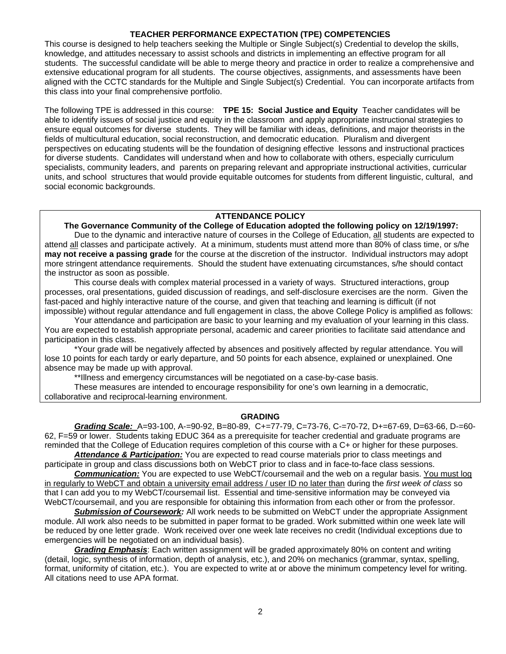#### **TEACHER PERFORMANCE EXPECTATION (TPE) COMPETENCIES**

This course is designed to help teachers seeking the Multiple or Single Subject(s) Credential to develop the skills, knowledge, and attitudes necessary to assist schools and districts in implementing an effective program for all students. The successful candidate will be able to merge theory and practice in order to realize a comprehensive and extensive educational program for all students. The course objectives, assignments, and assessments have been aligned with the CCTC standards for the Multiple and Single Subject(s) Credential. You can incorporate artifacts from this class into your final comprehensive portfolio.

The following TPE is addressed in this course: **TPE 15: Social Justice and Equity** Teacher candidates will be able to identify issues of social justice and equity in the classroom and apply appropriate instructional strategies to ensure equal outcomes for diverse students. They will be familiar with ideas, definitions, and major theorists in the fields of multicultural education, social reconstruction, and democratic education. Pluralism and divergent perspectives on educating students will be the foundation of designing effective lessons and instructional practices for diverse students. Candidates will understand when and how to collaborate with others, especially curriculum specialists, community leaders, and parents on preparing relevant and appropriate instructional activities, curricular units, and school structures that would provide equitable outcomes for students from different linguistic, cultural, and social economic backgrounds.

## **ATTENDANCE POLICY**

 **The Governance Community of the College of Education adopted the following policy on 12/19/1997:**  Due to the dynamic and interactive nature of courses in the College of Education, all students are expected to attend all classes and participate actively. At a minimum, students must attend more than 80% of class time, or s/he **may not receive a passing grade** for the course at the discretion of the instructor. Individual instructors may adopt more stringent attendance requirements. Should the student have extenuating circumstances, s/he should contact the instructor as soon as possible.

 This course deals with complex material processed in a variety of ways. Structured interactions, group processes, oral presentations, guided discussion of readings, and self-disclosure exercises are the norm. Given the fast-paced and highly interactive nature of the course, and given that teaching and learning is difficult (if not impossible) without regular attendance and full engagement in class, the above College Policy is amplified as follows:

 Your attendance and participation are basic to your learning and my evaluation of your learning in this class. You are expected to establish appropriate personal, academic and career priorities to facilitate said attendance and participation in this class.

 \*Your grade will be negatively affected by absences and positively affected by regular attendance. You will lose 10 points for each tardy or early departure, and 50 points for each absence, explained or unexplained. One absence may be made up with approval.

\*\*Illness and emergency circumstances will be negotiated on a case-by-case basis.

These measures are intended to encourage responsibility for one's own learning in a democratic, collaborative and reciprocal-learning environment.

#### **GRADING**

*Grading Scale:* A=93-100, A-=90-92, B=80-89, C+=77-79, C=73-76, C-=70-72, D+=67-69, D=63-66, D-=60- 62, F=59 or lower. Students taking EDUC 364 as a prerequisite for teacher credential and graduate programs are reminded that the College of Education requires completion of this course with a C+ or higher for these purposes.

*Attendance & Participation:* You are expected to read course materials prior to class meetings and participate in group and class discussions both on WebCT prior to class and in face-to-face class sessions.

*Communication:* You are expected to use WebCT/coursemail and the web on a regular basis. You must log in regularly to WebCT and obtain a university email address / user ID no later than during the *first week of class* so that I can add you to my WebCT/coursemail list. Essential and time-sensitive information may be conveyed via WebCT/coursemail, and you are responsible for obtaining this information from each other or from the professor.

*Submission of Coursework:* All work needs to be submitted on WebCT under the appropriate Assignment module. All work also needs to be submitted in paper format to be graded. Work submitted within one week late will be reduced by one letter grade. Work received over one week late receives no credit (Individual exceptions due to emergencies will be negotiated on an individual basis).

**Grading Emphasis**: Each written assignment will be graded approximately 80% on content and writing (detail, logic, synthesis of information, depth of analysis, etc.), and 20% on mechanics (grammar, syntax, spelling, format, uniformity of citation, etc.). You are expected to write at or above the minimum competency level for writing. All citations need to use APA format.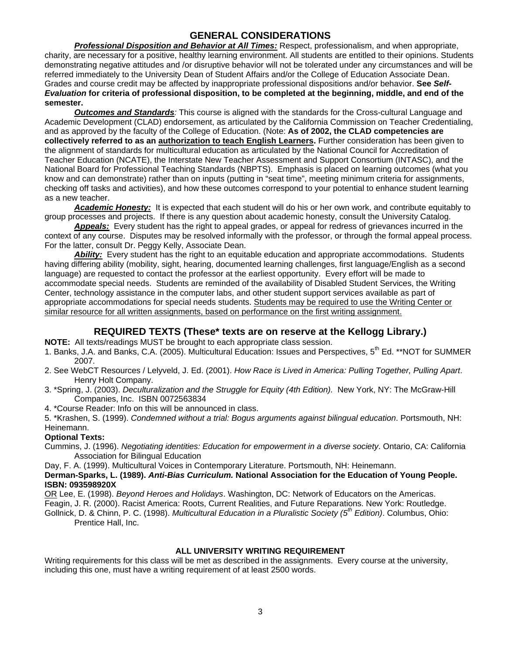# **GENERAL CONSIDERATIONS**

*Professional Disposition and Behavior at All Times:* Respect, professionalism, and when appropriate, charity, are necessary for a positive, healthy learning environment. All students are entitled to their opinions. Students demonstrating negative attitudes and /or disruptive behavior will not be tolerated under any circumstances and will be referred immediately to the University Dean of Student Affairs and/or the College of Education Associate Dean. Grades and course credit may be affected by inappropriate professional dispositions and/or behavior. **See** *Self-Evaluation* **for criteria of professional disposition, to be completed at the beginning, middle, and end of the semester.**

*Outcomes and Standards:* This course is aligned with the standards for the Cross-cultural Language and Academic Development (CLAD) endorsement, as articulated by the California Commission on Teacher Credentialing, and as approved by the faculty of the College of Education. (Note: **As of 2002, the CLAD competencies are collectively referred to as an authorization to teach English Learners.** Further consideration has been given to the alignment of standards for multicultural education as articulated by the National Council for Accreditation of Teacher Education (NCATE), the Interstate New Teacher Assessment and Support Consortium (INTASC), and the National Board for Professional Teaching Standards (NBPTS). Emphasis is placed on learning outcomes (what you know and can demonstrate) rather than on inputs (putting in "seat time", meeting minimum criteria for assignments, checking off tasks and activities), and how these outcomes correspond to your potential to enhance student learning as a new teacher.

*Academic Honesty:* It is expected that each student will do his or her own work, and contribute equitably to group processes and projects. If there is any question about academic honesty, consult the University Catalog.

*Appeals:* Every student has the right to appeal grades, or appeal for redress of grievances incurred in the context of any course. Disputes may be resolved informally with the professor, or through the formal appeal process. For the latter, consult Dr. Peggy Kelly, Associate Dean.

*Ability:* Every student has the right to an equitable education and appropriate accommodations. Students having differing ability (mobility, sight, hearing, documented learning challenges, first language/English as a second language) are requested to contact the professor at the earliest opportunity. Every effort will be made to accommodate special needs. Students are reminded of the availability of Disabled Student Services, the Writing Center, technology assistance in the computer labs, and other student support services available as part of appropriate accommodations for special needs students. Students may be required to use the Writing Center or similar resource for all written assignments, based on performance on the first writing assignment.

# **REQUIRED TEXTS (These\* texts are on reserve at the Kellogg Library.)**

**NOTE:** All texts/readings MUST be brought to each appropriate class session.

- 1. Banks, J.A. and Banks, C.A. (2005). Multicultural Education: Issues and Perspectives, 5<sup>th</sup> Ed. \*\*NOT for SUMMER 2007.
- 2. See WebCT Resources / Lelyveld, J. Ed. (2001). *How Race is Lived in America: Pulling Together, Pulling Apart*. Henry Holt Company.
- 3. \*Spring, J. (2003). *Deculturalization and the Struggle for Equity (4th Edition).* New York, NY: The McGraw-Hill Companies, Inc. ISBN 0072563834
- 4. \*Course Reader: Info on this will be announced in class.

5. \*Krashen, S. (1999). *Condemned without a trial: Bogus arguments against bilingual education*. Portsmouth, NH: Heinemann.

## **Optional Texts:**

Cummins, J. (1996). *Negotiating identities: Education for empowerment in a diverse society*. Ontario, CA: California Association for Bilingual Education

Day, F. A. (1999). Multicultural Voices in Contemporary Literature. Portsmouth, NH: Heinemann.

## **Derman-Sparks, L. (1989).** *Anti-Bias Curriculum.* **National Association for the Education of Young People. ISBN: 093598920X**

OR Lee, E. (1998). *Beyond Heroes and Holidays*. Washington, DC: Network of Educators on the Americas.

Feagin, J. R. (2000). Racist America: Roots, Current Realities, and Future Reparations. New York: Routledge.

Gollnick, D. & Chinn, P. C. (1998). *Multicultural Education in a Pluralistic Society (5th Edition)*. Columbus, Ohio: Prentice Hall, Inc.

## **ALL UNIVERSITY WRITING REQUIREMENT**

Writing requirements for this class will be met as described in the assignments. Every course at the university, including this one, must have a writing requirement of at least 2500 words.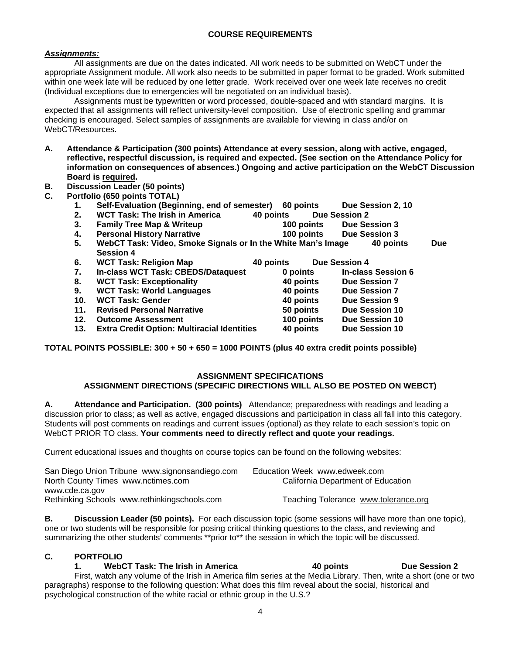## **COURSE REQUIREMENTS**

## *Assignments:*

 All assignments are due on the dates indicated. All work needs to be submitted on WebCT under the appropriate Assignment module. All work also needs to be submitted in paper format to be graded. Work submitted within one week late will be reduced by one letter grade. Work received over one week late receives no credit (Individual exceptions due to emergencies will be negotiated on an individual basis).

Assignments must be typewritten or word processed, double-spaced and with standard margins. It is expected that all assignments will reflect university-level composition. Use of electronic spelling and grammar checking is encouraged. Select samples of assignments are available for viewing in class and/or on WebCT/Resources.

- **A. Attendance & Participation (300 points) Attendance at every session, along with active, engaged, reflective, respectful discussion, is required and expected. (See section on the Attendance Policy for information on consequences of absences.) Ongoing and active participation on the WebCT Discussion Board is required.**
- **B. Discussion Leader (50 points)**
- **C. Portfolio (650 points TOTAL)** 
	- **1. Self-Evaluation (Beginning, end of semester) 60 points Due Session 2, 10**
	- **2. WCT Task: The Irish in America 40 points Due Session 2**
	- **3. Family Tree Map & Writeup 100 points Due Session 3**
	- **4. Personal History Narrative 100 points Due Session 3**
	- **5. WebCT Task: Video, Smoke Signals or In the White Man's Image 40 points Due Session 4**
	- **6. WCT Task: Religion Map 40 points Due Session 4 7. In-class WCT Task: CBEDS/Dataquest 0 points In-class Session 6**
	-
	- **8. WCT Task: Exceptionality 40 points Due Session 7 9. WCT Task: World Languages**
	-
	- **10. WCT Task: Gender 40 points Due Session 9 11. Revised Personal Narrative 50 points Due Session 10**
	- **12. Outcome Assessment 100 points Due Session 10**
	- **13. Extra Credit Option: Multiracial Identities 40 points Due Session 10**

**TOTAL POINTS POSSIBLE: 300 + 50 + 650 = 1000 POINTS (plus 40 extra credit points possible)** 

## **ASSIGNMENT SPECIFICATIONS**

## **ASSIGNMENT DIRECTIONS (SPECIFIC DIRECTIONS WILL ALSO BE POSTED ON WEBCT)**

**A. Attendance and Participation. (300 points)** Attendance; preparedness with readings and leading a discussion prior to class; as well as active, engaged discussions and participation in class all fall into this category. Students will post comments on readings and current issues (optional) as they relate to each session's topic on WebCT PRIOR TO class. **Your comments need to directly reflect and quote your readings.**

Current educational issues and thoughts on course topics can be found on the following websites:

| San Diego Union Tribune www.signonsandiego.com | Education Week www.edweek.com        |
|------------------------------------------------|--------------------------------------|
| North County Times www.nctimes.com             | California Department of Education   |
| www.cde.ca.gov                                 |                                      |
| Rethinking Schools www.rethinkingschools.com   | Teaching Tolerance www.tolerance.org |

**B. Discussion Leader (50 points).** For each discussion topic (some sessions will have more than one topic), one or two students will be responsible for posing critical thinking questions to the class, and reviewing and summarizing the other students' comments \*\*prior to\*\* the session in which the topic will be discussed.

## **C. PORTFOLIO**

#### **1. WebCT Task: The Irish in America 40 points Due Session 2**  First, watch any volume of the Irish in America film series at the Media Library. Then, write a short (one or two paragraphs) response to the following question: What does this film reveal about the social, historical and psychological construction of the white racial or ethnic group in the U.S.?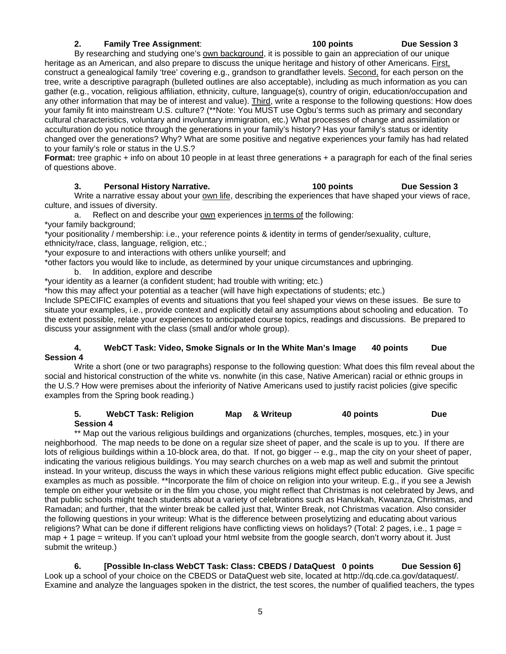## **2. Family Tree Assignment**: **100 points Due Session 3**

By researching and studying one's own background, it is possible to gain an appreciation of our unique heritage as an American, and also prepare to discuss the unique heritage and history of other Americans. First, construct a genealogical family 'tree' covering e.g., grandson to grandfather levels. Second, for each person on the tree, write a descriptive paragraph (bulleted outlines are also acceptable), including as much information as you can gather (e.g., vocation, religious affiliation, ethnicity, culture, language(s), country of origin, education/occupation and any other information that may be of interest and value). Third, write a response to the following questions: How does your family fit into mainstream U.S. culture? (\*\*Note: You MUST use Ogbu's terms such as primary and secondary cultural characteristics, voluntary and involuntary immigration, etc.) What processes of change and assimilation or acculturation do you notice through the generations in your family's history? Has your family's status or identity changed over the generations? Why? What are some positive and negative experiences your family has had related to your family's role or status in the U.S.?

**Format:** tree graphic + info on about 10 people in at least three generations + a paragraph for each of the final series of questions above.

#### **3. Personal History Narrative. 100 points Due Session 3**

Write a narrative essay about your own life, describing the experiences that have shaped your views of race, culture, and issues of diversity.

a. Reflect on and describe your own experiences in terms of the following: \*your family background;

\*your positionality / membership: i.e., your reference points & identity in terms of gender/sexuality, culture, ethnicity/race, class, language, religion, etc.;

\*your exposure to and interactions with others unlike yourself; and

\*other factors you would like to include, as determined by your unique circumstances and upbringing.

- b. In addition, explore and describe
- \*your identity as a learner (a confident student; had trouble with writing; etc.)

\*how this may affect your potential as a teacher (will have high expectations of students; etc.)

Include SPECIFIC examples of events and situations that you feel shaped your views on these issues. Be sure to situate your examples, i.e., provide context and explicitly detail any assumptions about schooling and education. To the extent possible, relate your experiences to anticipated course topics, readings and discussions. Be prepared to discuss your assignment with the class (small and/or whole group).

#### **4. WebCT Task: Video, Smoke Signals or In the White Man's Image 40 points Due Session 4**

Write a short (one or two paragraphs) response to the following question: What does this film reveal about the social and historical construction of the white vs. nonwhite (in this case, Native American) racial or ethnic groups in the U.S.? How were premises about the inferiority of Native Americans used to justify racist policies (give specific examples from the Spring book reading.)

#### **5. WebCT Task: Religion Map & Writeup 40 points Due Session 4**

\*\* Map out the various religious buildings and organizations (churches, temples, mosques, etc.) in your neighborhood. The map needs to be done on a regular size sheet of paper, and the scale is up to you. If there are lots of religious buildings within a 10-block area, do that. If not, go bigger -- e.g., map the city on your sheet of paper, indicating the various religious buildings. You may search churches on a web map as well and submit the printout instead. In your writeup, discuss the ways in which these various religions might effect public education. Give specific examples as much as possible. \*\*Incorporate the film of choice on religion into your writeup. E.g., if you see a Jewish temple on either your website or in the film you chose, you might reflect that Christmas is not celebrated by Jews, and that public schools might teach students about a variety of celebrations such as Hanukkah, Kwaanza, Christmas, and Ramadan; and further, that the winter break be called just that, Winter Break, not Christmas vacation. Also consider the following questions in your writeup: What is the difference between proselytizing and educating about various religions? What can be done if different religions have conflicting views on holidays? (Total: 2 pages, i.e., 1 page = map + 1 page = writeup. If you can't upload your html website from the google search, don't worry about it. Just submit the writeup.)

 **6. [Possible In-class WebCT Task: Class: CBEDS / DataQuest 0 points Due Session 6]**  Look up a school of your choice on the CBEDS or DataQuest web site, located at http://dq.cde.ca.gov/dataquest/. Examine and analyze the languages spoken in the district, the test scores, the number of qualified teachers, the types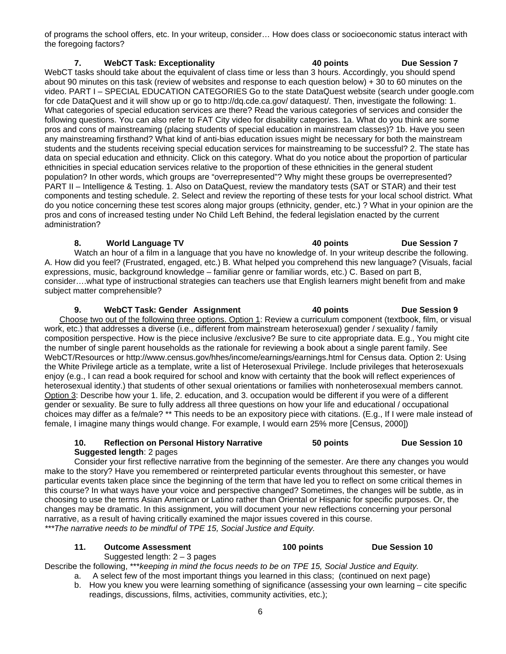of programs the school offers, etc. In your writeup, consider… How does class or socioeconomic status interact with the foregoing factors?

## **7. WebCT Task: Exceptionality 40 points Due Session 7**

WebCT tasks should take about the equivalent of class time or less than 3 hours. Accordingly, you should spend about 90 minutes on this task (review of websites and response to each question below) + 30 to 60 minutes on the video. PART I – SPECIAL EDUCATION CATEGORIES Go to the state DataQuest website (search under google.com for cde DataQuest and it will show up or go to http://dq.cde.ca.gov/ dataquest/. Then, investigate the following: 1. What categories of special education services are there? Read the various categories of services and consider the following questions. You can also refer to FAT City video for disability categories. 1a. What do you think are some pros and cons of mainstreaming (placing students of special education in mainstream classes)? 1b. Have you seen any mainstreaming firsthand? What kind of anti-bias education issues might be necessary for both the mainstream students and the students receiving special education services for mainstreaming to be successful? 2. The state has data on special education and ethnicity. Click on this category. What do you notice about the proportion of particular ethnicities in special education services relative to the proportion of these ethnicities in the general student population? In other words, which groups are "overrepresented"? Why might these groups be overrepresented? PART II – Intelligence & Testing. 1. Also on DataQuest, review the mandatory tests (SAT or STAR) and their test components and testing schedule. 2. Select and review the reporting of these tests for your local school district. What do you notice concerning these test scores along major groups (ethnicity, gender, etc.) ? What in your opinion are the pros and cons of increased testing under No Child Left Behind, the federal legislation enacted by the current administration?

## **8. World Language TV 40 points Due Session 7**

Watch an hour of a film in a language that you have no knowledge of. In your writeup describe the following. A. How did you feel? (Frustrated, engaged, etc.) B. What helped you comprehend this new language? (Visuals, facial expressions, music, background knowledge – familiar genre or familiar words, etc.) C. Based on part B, consider….what type of instructional strategies can teachers use that English learners might benefit from and make subject matter comprehensible?

**9.** WebCT Task: Gender Assignment **40 points** Due Session 9 Choose two out of the following three options. Option 1: Review a curriculum component (textbook, film, or visual work, etc.) that addresses a diverse (i.e., different from mainstream heterosexual) gender / sexuality / family composition perspective. How is the piece inclusive /exclusive? Be sure to cite appropriate data. E.g., You might cite the number of single parent households as the rationale for reviewing a book about a single parent family. See WebCT/Resources or http://www.census.gov/hhes/income/earnings/earnings.html for Census data. Option 2: Using the White Privilege article as a template, write a list of Heterosexual Privilege. Include privileges that heterosexuals enjoy (e.g., I can read a book required for school and know with certainty that the book will reflect experiences of heterosexual identity.) that students of other sexual orientations or families with nonheterosexual members cannot. Option 3: Describe how your 1. life, 2. education, and 3. occupation would be different if you were of a different gender or sexuality. Be sure to fully address all three questions on how your life and educational / occupational choices may differ as a fe/male? \*\* This needs to be an expository piece with citations. (E.g., If I were male instead of female, I imagine many things would change. For example, I would earn 25% more [Census, 2000])

#### **10. Reflection on Personal History Narrative 50 points Due Session 10 Suggested length**: 2 pages

 Consider your first reflective narrative from the beginning of the semester. Are there any changes you would make to the story? Have you remembered or reinterpreted particular events throughout this semester, or have particular events taken place since the beginning of the term that have led you to reflect on some critical themes in this course? In what ways have your voice and perspective changed? Sometimes, the changes will be subtle, as in choosing to use the terms Asian American or Latino rather than Oriental or Hispanic for specific purposes. Or, the changes may be dramatic. In this assignment, you will document your new reflections concerning your personal narrative, as a result of having critically examined the major issues covered in this course. *\*\*\*The narrative needs to be mindful of TPE 15, Social Justice and Equity.* 

## **11. Outcome Assessment 100 points Due Session 10**

Suggested length:  $2 - 3$  pages Describe the following, \*\*\**keeping in mind the focus needs to be on TPE 15, Social Justice and Equity.*

- a. A select few of the most important things you learned in this class; (continued on next page)
- b. How you knew you were learning something of significance (assessing your own learning cite specific readings, discussions, films, activities, community activities, etc.);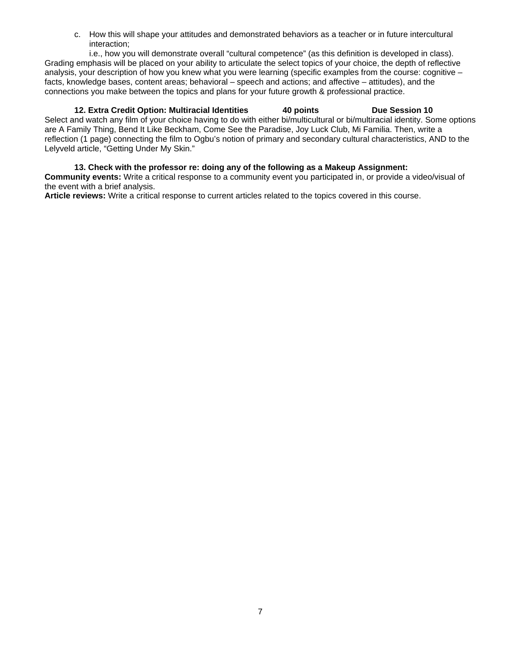c. How this will shape your attitudes and demonstrated behaviors as a teacher or in future intercultural interaction;

i.e., how you will demonstrate overall "cultural competence" (as this definition is developed in class). Grading emphasis will be placed on your ability to articulate the select topics of your choice, the depth of reflective analysis, your description of how you knew what you were learning (specific examples from the course: cognitive – facts, knowledge bases, content areas; behavioral – speech and actions; and affective – attitudes), and the connections you make between the topics and plans for your future growth & professional practice.

# **12. Extra Credit Option: Multiracial Identities 40 points Due Session 10**

Select and watch any film of your choice having to do with either bi/multicultural or bi/multiracial identity. Some options are A Family Thing, Bend It Like Beckham, Come See the Paradise, Joy Luck Club, Mi Familia. Then, write a reflection (1 page) connecting the film to Ogbu's notion of primary and secondary cultural characteristics, AND to the Lelyveld article, "Getting Under My Skin."

**13. Check with the professor re: doing any of the following as a Makeup Assignment: Community events:** Write a critical response to a community event you participated in, or provide a video/visual of the event with a brief analysis.

**Article reviews:** Write a critical response to current articles related to the topics covered in this course.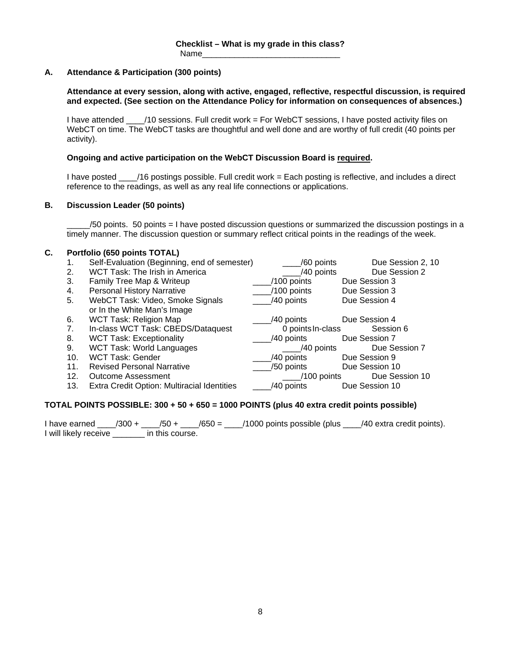## **A. Attendance & Participation (300 points)**

#### **Attendance at every session, along with active, engaged, reflective, respectful discussion, is required and expected. (See section on the Attendance Policy for information on consequences of absences.)**

I have attended \_\_\_\_/10 sessions. Full credit work = For WebCT sessions, I have posted activity files on WebCT on time. The WebCT tasks are thoughtful and well done and are worthy of full credit (40 points per activity).

#### **Ongoing and active participation on the WebCT Discussion Board is required.**

I have posted \_\_\_\_/16 postings possible. Full credit work = Each posting is reflective, and includes a direct reference to the readings, as well as any real life connections or applications.

#### **B. Discussion Leader (50 points)**

\_\_\_\_\_/50 points. 50 points = I have posted discussion questions or summarized the discussion postings in a timely manner. The discussion question or summary reflect critical points in the readings of the week.

## **C. Portfolio (650 points TOTAL)**

| 1.  | Self-Evaluation (Beginning, end of semester) | /60 points        | Due Session 2, 10 |
|-----|----------------------------------------------|-------------------|-------------------|
| 2.  | WCT Task: The Irish in America               | /40 points        | Due Session 2     |
| 3.  | Family Tree Map & Writeup                    | $/100$ points     | Due Session 3     |
| 4.  | <b>Personal History Narrative</b>            | /100 points       | Due Session 3     |
| 5.  | WebCT Task: Video, Smoke Signals             | /40 points        | Due Session 4     |
|     | or In the White Man's Image                  |                   |                   |
| 6.  | WCT Task: Religion Map                       | /40 points        | Due Session 4     |
| 7.  | In-class WCT Task: CBEDS/Dataquest           | 0 points In-class | Session 6         |
| 8.  | <b>WCT Task: Exceptionality</b>              | /40 points        | Due Session 7     |
| 9.  | WCT Task: World Languages                    | /40 points        | Due Session 7     |
| 10. | <b>WCT Task: Gender</b>                      | /40 points        | Due Session 9     |
| 11. | <b>Revised Personal Narrative</b>            | /50 points        | Due Session 10    |
| 12. | <b>Outcome Assessment</b>                    | /100 points       | Due Session 10    |
| 13. | Extra Credit Option: Multiracial Identities  | /40 points        | Due Session 10    |
|     |                                              |                   |                   |

## **TOTAL POINTS POSSIBLE: 300 + 50 + 650 = 1000 POINTS (plus 40 extra credit points possible)**

I have earned  $\frac{1}{2}$  /300 +  $\frac{1}{2}$  /50 +  $\frac{1}{2}$  /650 =  $\frac{1}{2}$  /1000 points possible (plus  $\frac{1}{2}$  /40 extra credit points). I will likely receive **in this course**.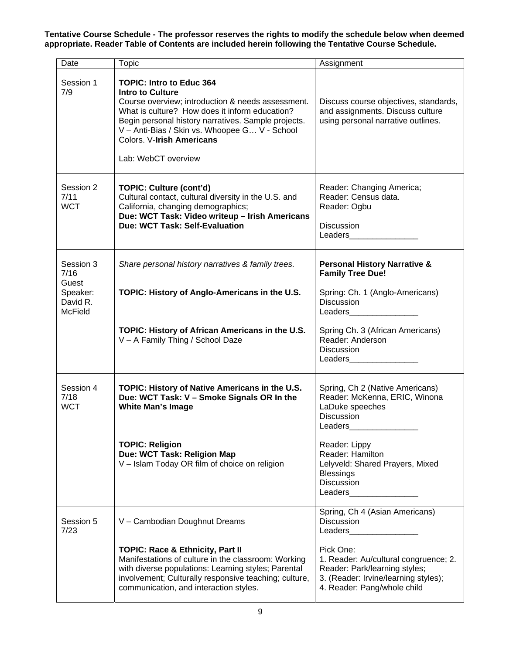**Tentative Course Schedule - The professor reserves the rights to modify the schedule below when deemed appropriate. Reader Table of Contents are included herein following the Tentative Course Schedule.** 

| Date                                   | Topic                                                                                                                                                                                                                                                                                                                         | Assignment                                                                                                                                                                                                                                                                                                                                       |
|----------------------------------------|-------------------------------------------------------------------------------------------------------------------------------------------------------------------------------------------------------------------------------------------------------------------------------------------------------------------------------|--------------------------------------------------------------------------------------------------------------------------------------------------------------------------------------------------------------------------------------------------------------------------------------------------------------------------------------------------|
| Session 1<br>7/9                       | <b>TOPIC: Intro to Educ 364</b><br><b>Intro to Culture</b><br>Course overview; introduction & needs assessment.<br>What is culture? How does it inform education?<br>Begin personal history narratives. Sample projects.<br>V - Anti-Bias / Skin vs. Whoopee G V - School<br>Colors. V-Irish Americans<br>Lab: WebCT overview | Discuss course objectives, standards,<br>and assignments. Discuss culture<br>using personal narrative outlines.                                                                                                                                                                                                                                  |
| Session 2<br>7/11<br><b>WCT</b>        | <b>TOPIC: Culture (cont'd)</b><br>Cultural contact, cultural diversity in the U.S. and<br>California, changing demographics;<br>Due: WCT Task: Video writeup - Irish Americans<br>Due: WCT Task: Self-Evaluation                                                                                                              | Reader: Changing America;<br>Reader: Census data.<br>Reader: Ogbu<br><b>Discussion</b><br>Leaders                                                                                                                                                                                                                                                |
| Session 3<br>7/16<br>Guest             | Share personal history narratives & family trees.                                                                                                                                                                                                                                                                             | <b>Personal History Narrative &amp;</b><br><b>Family Tree Due!</b>                                                                                                                                                                                                                                                                               |
| Speaker:<br>David R.<br><b>McField</b> | TOPIC: History of Anglo-Americans in the U.S.                                                                                                                                                                                                                                                                                 | Spring: Ch. 1 (Anglo-Americans)<br><b>Discussion</b><br>Leaders                                                                                                                                                                                                                                                                                  |
|                                        | TOPIC: History of African Americans in the U.S.<br>V - A Family Thing / School Daze                                                                                                                                                                                                                                           | Spring Ch. 3 (African Americans)<br>Reader: Anderson<br><b>Discussion</b><br>Leaders                                                                                                                                                                                                                                                             |
| Session 4<br>7/18<br><b>WCT</b>        | TOPIC: History of Native Americans in the U.S.<br>Due: WCT Task: V - Smoke Signals OR In the<br><b>White Man's Image</b>                                                                                                                                                                                                      | Spring, Ch 2 (Native Americans)<br>Reader: McKenna, ERIC, Winona<br>LaDuke speeches<br><b>Discussion</b><br>Leaders                                                                                                                                                                                                                              |
|                                        | <b>TOPIC: Religion</b><br>Due: WCT Task: Religion Map<br>V - Islam Today OR film of choice on religion                                                                                                                                                                                                                        | Reader: Lippy<br>Reader: Hamilton<br>Lelyveld: Shared Prayers, Mixed<br><b>Blessings</b><br><b>Discussion</b><br>Leaders and the state of the state of the state of the state of the state of the state of the state of the state of the state of the state of the state of the state of the state of the state of the state of the state of the |
| Session 5<br>7/23                      | V - Cambodian Doughnut Dreams                                                                                                                                                                                                                                                                                                 | Spring, Ch 4 (Asian Americans)<br><b>Discussion</b><br>Leaders and the state of the state of the state of the state of the state of the state of the state of the state of the state of the state of the state of the state of the state of the state of the state of the state of the                                                           |
|                                        | <b>TOPIC: Race &amp; Ethnicity, Part II</b><br>Manifestations of culture in the classroom: Working<br>with diverse populations: Learning styles; Parental<br>involvement; Culturally responsive teaching; culture,<br>communication, and interaction styles.                                                                  | Pick One:<br>1. Reader: Au/cultural congruence; 2.<br>Reader: Park/learning styles;<br>3. (Reader: Irvine/learning styles);<br>4. Reader: Pang/whole child                                                                                                                                                                                       |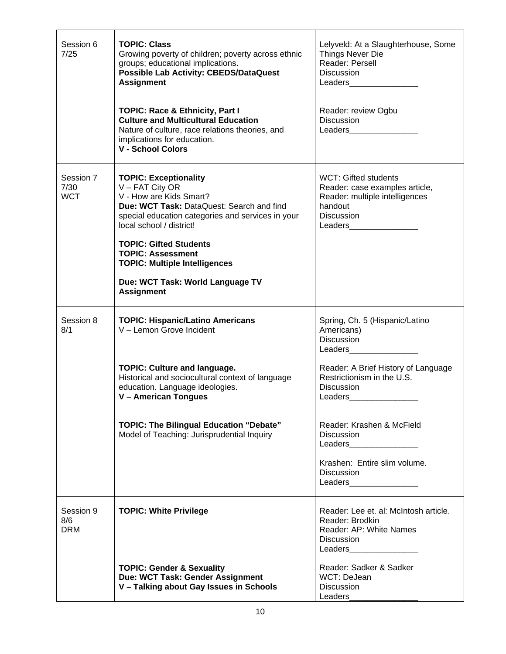| Session 6<br>7/25               | <b>TOPIC: Class</b><br>Growing poverty of children; poverty across ethnic<br>groups; educational implications.<br><b>Possible Lab Activity: CBEDS/DataQuest</b><br><b>Assignment</b><br><b>TOPIC: Race &amp; Ethnicity, Part I</b><br><b>Culture and Multicultural Education</b><br>Nature of culture, race relations theories, and<br>implications for education.<br><b>V - School Colors</b> | Lelyveld: At a Slaughterhouse, Some<br>Things Never Die<br>Reader: Persell<br><b>Discussion</b><br>Leaders and the state of the state of the state of the state of the state of the state of the state of the state of the state of the state of the state of the state of the state of the state of the state of the state of the<br>Reader: review Ogbu<br><b>Discussion</b> |
|---------------------------------|------------------------------------------------------------------------------------------------------------------------------------------------------------------------------------------------------------------------------------------------------------------------------------------------------------------------------------------------------------------------------------------------|--------------------------------------------------------------------------------------------------------------------------------------------------------------------------------------------------------------------------------------------------------------------------------------------------------------------------------------------------------------------------------|
| Session 7<br>7/30<br><b>WCT</b> | <b>TOPIC: Exceptionality</b><br>$V - FAT City OR$<br>V - How are Kids Smart?<br>Due: WCT Task: DataQuest: Search and find<br>special education categories and services in your<br>local school / district!<br><b>TOPIC: Gifted Students</b><br><b>TOPIC: Assessment</b><br><b>TOPIC: Multiple Intelligences</b><br>Due: WCT Task: World Language TV<br><b>Assignment</b>                       | WCT: Gifted students<br>Reader: case examples article,<br>Reader: multiple intelligences<br>handout<br><b>Discussion</b><br>Leaders and the state of the state of the state of the state of the state of the state of the state of the state of the state of the state of the state of the state of the state of the state of the state of the state of the                    |
| Session 8<br>8/1                | <b>TOPIC: Hispanic/Latino Americans</b><br>V - Lemon Grove Incident                                                                                                                                                                                                                                                                                                                            | Spring, Ch. 5 (Hispanic/Latino<br>Americans)<br><b>Discussion</b><br>Leaders and the state of the state of the state of the state of the state of the state of the state of the state of the state of the state of the state of the state of the state of the state of the state of the state of the                                                                           |
|                                 | <b>TOPIC: Culture and language.</b><br>Historical and sociocultural context of language<br>education. Language ideologies.<br>V - American Tongues                                                                                                                                                                                                                                             | Reader: A Brief History of Language<br>Restrictionism in the U.S.<br><b>Discussion</b><br>Leaders                                                                                                                                                                                                                                                                              |
|                                 | <b>TOPIC: The Bilingual Education "Debate"</b><br>Model of Teaching: Jurisprudential Inquiry                                                                                                                                                                                                                                                                                                   | Reader: Krashen & McField<br><b>Discussion</b><br>Leaders__________________<br>Krashen: Entire slim volume.<br><b>Discussion</b><br>Leaders__________________                                                                                                                                                                                                                  |
| Session 9<br>8/6<br><b>DRM</b>  | <b>TOPIC: White Privilege</b>                                                                                                                                                                                                                                                                                                                                                                  | Reader: Lee et. al: McIntosh article.<br>Reader: Brodkin<br>Reader: AP: White Names<br><b>Discussion</b><br>Leaders___________________                                                                                                                                                                                                                                         |
|                                 | <b>TOPIC: Gender &amp; Sexuality</b><br>Due: WCT Task: Gender Assignment<br>V - Talking about Gay Issues in Schools                                                                                                                                                                                                                                                                            | Reader: Sadker & Sadker<br>WCT: DeJean<br><b>Discussion</b><br>Leaders                                                                                                                                                                                                                                                                                                         |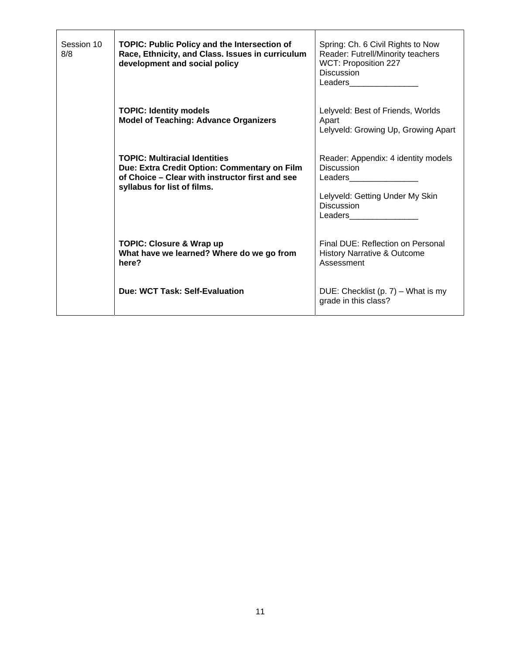| Session 10<br>8/8 | <b>TOPIC: Public Policy and the Intersection of</b><br>Race, Ethnicity, and Class. Issues in curriculum<br>development and social policy                               | Spring: Ch. 6 Civil Rights to Now<br>Reader: Futrell/Minority teachers<br>WCT: Proposition 227<br><b>Discussion</b><br>Leaders and the state of the state of the state of the state of the state of the state of the state of the state of the state of the state of the state of the state of the state of the state of the state of the state of the                           |
|-------------------|------------------------------------------------------------------------------------------------------------------------------------------------------------------------|----------------------------------------------------------------------------------------------------------------------------------------------------------------------------------------------------------------------------------------------------------------------------------------------------------------------------------------------------------------------------------|
|                   | <b>TOPIC: Identity models</b><br><b>Model of Teaching: Advance Organizers</b>                                                                                          | Lelyveld: Best of Friends, Worlds<br>Apart<br>Lelyveld: Growing Up, Growing Apart                                                                                                                                                                                                                                                                                                |
|                   | <b>TOPIC: Multiracial Identities</b><br>Due: Extra Credit Option: Commentary on Film<br>of Choice – Clear with instructor first and see<br>syllabus for list of films. | Reader: Appendix: 4 identity models<br><b>Discussion</b><br>Leaders and the state of the state of the state of the state of the state of the state of the state of the state of the state of the state of the state of the state of the state of the state of the state of the state of the<br>Lelyveld: Getting Under My Skin<br><b>Discussion</b><br>Leaders__________________ |
|                   | <b>TOPIC: Closure &amp; Wrap up</b><br>What have we learned? Where do we go from<br>here?                                                                              | Final DUE: Reflection on Personal<br><b>History Narrative &amp; Outcome</b><br>Assessment                                                                                                                                                                                                                                                                                        |
|                   | Due: WCT Task: Self-Evaluation                                                                                                                                         | DUE: Checklist (p. $7$ ) – What is my<br>grade in this class?                                                                                                                                                                                                                                                                                                                    |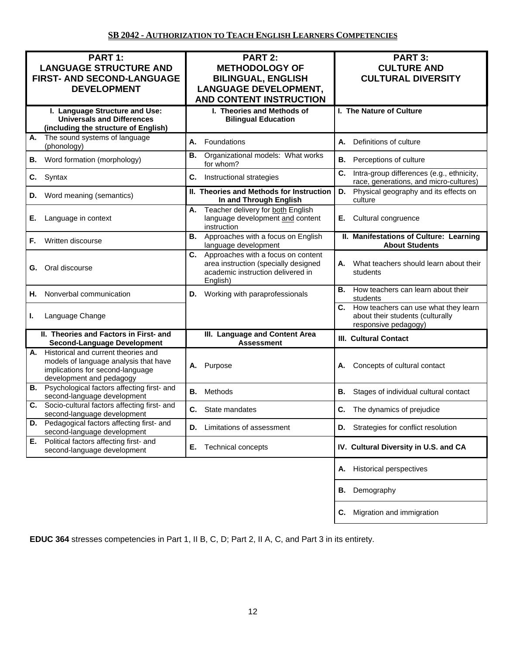| PART 1:                                                                             | PART 2:                                                                   | PART 3:                                                                                   |
|-------------------------------------------------------------------------------------|---------------------------------------------------------------------------|-------------------------------------------------------------------------------------------|
| <b>LANGUAGE STRUCTURE AND</b>                                                       | <b>METHODOLOGY OF</b>                                                     | <b>CULTURE AND</b>                                                                        |
| <b>FIRST- AND SECOND-LANGUAGE</b>                                                   | <b>BILINGUAL, ENGLISH</b>                                                 | <b>CULTURAL DIVERSITY</b>                                                                 |
| <b>DEVELOPMENT</b>                                                                  | <b>LANGUAGE DEVELOPMENT,</b>                                              |                                                                                           |
|                                                                                     | <b>AND CONTENT INSTRUCTION</b>                                            |                                                                                           |
| I. Language Structure and Use:                                                      | I. Theories and Methods of                                                | I. The Nature of Culture                                                                  |
| <b>Universals and Differences</b>                                                   | <b>Bilingual Education</b>                                                |                                                                                           |
| (including the structure of English)                                                |                                                                           |                                                                                           |
| The sound systems of language<br>А.<br>(phonology)                                  | Foundations<br>А.                                                         | Definitions of culture<br>А.                                                              |
|                                                                                     | Organizational models: What works<br>В.                                   |                                                                                           |
| Word formation (morphology)<br>В.                                                   | for whom?                                                                 | В.<br>Perceptions of culture                                                              |
| Syntax<br>С.                                                                        | Instructional strategies<br>C.                                            | C.<br>Intra-group differences (e.g., ethnicity,<br>race, generations, and micro-cultures) |
| Word meaning (semantics)<br>D.                                                      | II. Theories and Methods for Instruction<br>In and Through English        | Physical geography and its effects on<br>D.<br>culture                                    |
|                                                                                     | Teacher delivery for both English<br>А.                                   |                                                                                           |
| Е.<br>Language in context                                                           | language development and content                                          | Cultural congruence<br>Е.                                                                 |
|                                                                                     | instruction                                                               |                                                                                           |
| Written discourse<br>F.                                                             | Approaches with a focus on English<br><b>B.</b><br>language development   | II. Manifestations of Culture: Learning<br><b>About Students</b>                          |
|                                                                                     | C. Approaches with a focus on content                                     | What teachers should learn about their<br>А.                                              |
| Oral discourse<br>G.                                                                | area instruction (specially designed<br>academic instruction delivered in | students                                                                                  |
|                                                                                     | English)                                                                  |                                                                                           |
| Nonverbal communication<br>Н.                                                       | <b>D.</b> Working with paraprofessionals                                  | How teachers can learn about their<br>В.<br>students                                      |
|                                                                                     |                                                                           | How teachers can use what they learn<br>С.                                                |
| Language Change<br>L.                                                               |                                                                           | about their students (culturally<br>responsive pedagogy)                                  |
| II. Theories and Factors in First- and                                              | III. Language and Content Area                                            |                                                                                           |
| <b>Second-Language Development</b>                                                  | <b>Assessment</b>                                                         | <b>III. Cultural Contact</b>                                                              |
| A. Historical and current theories and                                              |                                                                           |                                                                                           |
| models of language analysis that have<br>implications for second-language           | Purpose<br>А.                                                             | Concepts of cultural contact<br>Α.                                                        |
| development and pedagogy                                                            |                                                                           |                                                                                           |
| <b>B.</b> Psychological factors affecting first- and<br>second-language development | В.<br>Methods                                                             | В.<br>Stages of individual cultural contact                                               |
| Socio-cultural factors affecting first- and<br>С.                                   | C. State mandates                                                         | <b>C.</b> The dynamics of prejudice                                                       |
| second-language development                                                         |                                                                           |                                                                                           |
| D. Pedagogical factors affecting first- and<br>second-language development          | Limitations of assessment<br>D.                                           | <b>D.</b> Strategies for conflict resolution                                              |
| E. Political factors affecting first- and<br>second-language development            | <b>Technical concepts</b><br>Е.                                           | IV. Cultural Diversity in U.S. and CA                                                     |
|                                                                                     |                                                                           | <b>Historical perspectives</b><br>Α.                                                      |
|                                                                                     |                                                                           |                                                                                           |
|                                                                                     |                                                                           | Demography<br>В.                                                                          |
|                                                                                     |                                                                           | Migration and immigration<br>С.                                                           |

**EDUC 364** stresses competencies in Part 1, II B, C, D; Part 2, II A, C, and Part 3 in its entirety.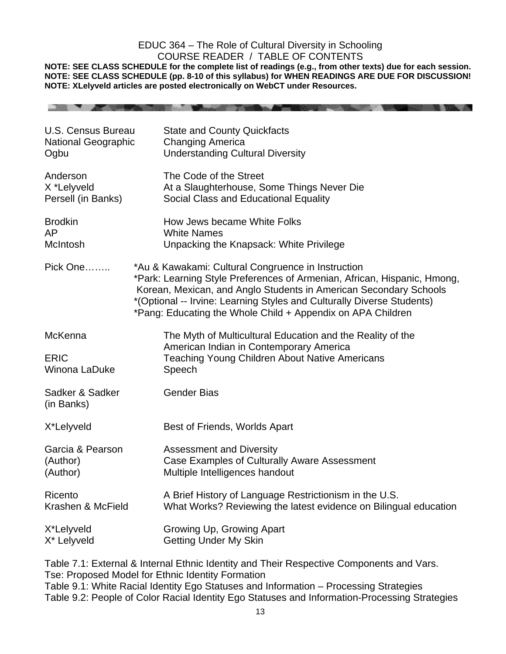## EDUC 364 – The Role of Cultural Diversity in Schooling COURSE READER / TABLE OF CONTENTS

**NOTE: SEE CLASS SCHEDULE for the complete list of readings (e.g., from other texts) due for each session. NOTE: SEE CLASS SCHEDULE (pp. 8-10 of this syllabus) for WHEN READINGS ARE DUE FOR DISCUSSION! NOTE: XLelyveld articles are posted electronically on WebCT under Resources.** 

**THE R. P. LEWIS CO., LANSING, MICH. 49-14039-1-120-2** 

| U.S. Census Bureau<br><b>National Geographic</b><br>Ogbu |                                                                                                                                                                                                                                                                                                                                              | <b>State and County Quickfacts</b><br><b>Changing America</b><br><b>Understanding Cultural Diversity</b>                                                                 |
|----------------------------------------------------------|----------------------------------------------------------------------------------------------------------------------------------------------------------------------------------------------------------------------------------------------------------------------------------------------------------------------------------------------|--------------------------------------------------------------------------------------------------------------------------------------------------------------------------|
| Anderson<br>X *Lelyveld<br>Persell (in Banks)            |                                                                                                                                                                                                                                                                                                                                              | The Code of the Street<br>At a Slaughterhouse, Some Things Never Die<br>Social Class and Educational Equality                                                            |
| <b>Brodkin</b><br><b>AP</b><br><b>McIntosh</b>           |                                                                                                                                                                                                                                                                                                                                              | How Jews became White Folks<br><b>White Names</b><br>Unpacking the Knapsack: White Privilege                                                                             |
| Pick One                                                 | *Au & Kawakami: Cultural Congruence in Instruction<br>*Park: Learning Style Preferences of Armenian, African, Hispanic, Hmong,<br>Korean, Mexican, and Anglo Students in American Secondary Schools<br>*(Optional -- Irvine: Learning Styles and Culturally Diverse Students)<br>*Pang: Educating the Whole Child + Appendix on APA Children |                                                                                                                                                                          |
| <b>McKenna</b><br><b>ERIC</b><br>Winona LaDuke           |                                                                                                                                                                                                                                                                                                                                              | The Myth of Multicultural Education and the Reality of the<br>American Indian in Contemporary America<br><b>Teaching Young Children About Native Americans</b><br>Speech |
| Sadker & Sadker<br>(in Banks)                            |                                                                                                                                                                                                                                                                                                                                              | <b>Gender Bias</b>                                                                                                                                                       |
| X*Lelyveld                                               |                                                                                                                                                                                                                                                                                                                                              | Best of Friends, Worlds Apart                                                                                                                                            |
| Garcia & Pearson<br>(Author)<br>(Author)                 |                                                                                                                                                                                                                                                                                                                                              | <b>Assessment and Diversity</b><br>Case Examples of Culturally Aware Assessment<br>Multiple Intelligences handout                                                        |
| Ricento<br>Krashen & McField                             |                                                                                                                                                                                                                                                                                                                                              | A Brief History of Language Restrictionism in the U.S.<br>What Works? Reviewing the latest evidence on Bilingual education                                               |
| X*Lelyveld<br>X* Lelyveld                                |                                                                                                                                                                                                                                                                                                                                              | Growing Up, Growing Apart<br><b>Getting Under My Skin</b>                                                                                                                |

Table 7.1: External & Internal Ethnic Identity and Their Respective Components and Vars. Tse: Proposed Model for Ethnic Identity Formation Table 9.1: White Racial Identity Ego Statuses and Information – Processing Strategies Table 9.2: People of Color Racial Identity Ego Statuses and Information-Processing Strategies